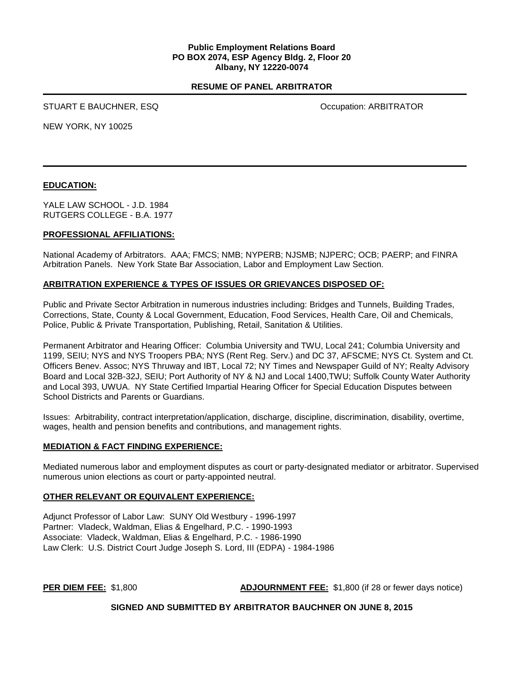#### **Public Employment Relations Board PO BOX 2074, ESP Agency Bldg. 2, Floor 20 Albany, NY 12220-0074**

### **RESUME OF PANEL ARBITRATOR**

STUART E BAUCHNER, ESQ **STUART E BAUCHNER, ESQ** OCCUPATION

NEW YORK, NY 10025

## **EDUCATION:**

YALE LAW SCHOOL - J.D. 1984 RUTGERS COLLEGE - B.A. 1977

#### **PROFESSIONAL AFFILIATIONS:**

National Academy of Arbitrators. AAA; FMCS; NMB; NYPERB; NJSMB; NJPERC; OCB; PAERP; and FINRA Arbitration Panels. New York State Bar Association, Labor and Employment Law Section.

## **ARBITRATION EXPERIENCE & TYPES OF ISSUES OR GRIEVANCES DISPOSED OF:**

Public and Private Sector Arbitration in numerous industries including: Bridges and Tunnels, Building Trades, Corrections, State, County & Local Government, Education, Food Services, Health Care, Oil and Chemicals, Police, Public & Private Transportation, Publishing, Retail, Sanitation & Utilities.

Permanent Arbitrator and Hearing Officer: Columbia University and TWU, Local 241; Columbia University and 1199, SEIU; NYS and NYS Troopers PBA; NYS (Rent Reg. Serv.) and DC 37, AFSCME; NYS Ct. System and Ct. Officers Benev. Assoc; NYS Thruway and IBT, Local 72; NY Times and Newspaper Guild of NY; Realty Advisory Board and Local 32B-32J, SEIU; Port Authority of NY & NJ and Local 1400,TWU; Suffolk County Water Authority and Local 393, UWUA. NY State Certified Impartial Hearing Officer for Special Education Disputes between School Districts and Parents or Guardians.

Issues: Arbitrability, contract interpretation/application, discharge, discipline, discrimination, disability, overtime, wages, health and pension benefits and contributions, and management rights.

#### **MEDIATION & FACT FINDING EXPERIENCE:**

Mediated numerous labor and employment disputes as court or party-designated mediator or arbitrator. Supervised numerous union elections as court or party-appointed neutral.

#### **OTHER RELEVANT OR EQUIVALENT EXPERIENCE:**

Adjunct Professor of Labor Law: SUNY Old Westbury - 1996-1997 Partner: Vladeck, Waldman, Elias & Engelhard, P.C. - 1990-1993 Associate: Vladeck, Waldman, Elias & Engelhard, P.C. - 1986-1990 Law Clerk: U.S. District Court Judge Joseph S. Lord, III (EDPA) - 1984-1986

**PER DIEM FEE:** \$1,800 **ADJOURNMENT FEE:** \$1,800 (if 28 or fewer days notice)

**SIGNED AND SUBMITTED BY ARBITRATOR BAUCHNER ON JUNE 8, 2015**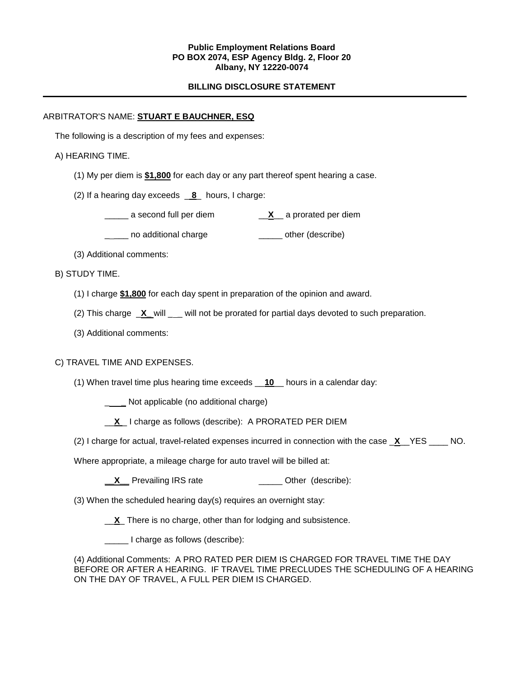#### **Public Employment Relations Board PO BOX 2074, ESP Agency Bldg. 2, Floor 20 Albany, NY 12220-0074**

## **BILLING DISCLOSURE STATEMENT**

### ARBITRATOR'S NAME: **STUART E BAUCHNER, ESQ**

The following is a description of my fees and expenses:

## A) HEARING TIME.

- (1) My per diem is **\$1,800** for each day or any part thereof spent hearing a case.
- (2) If a hearing day exceeds \_ **8**\_ hours, I charge:
	- \_\_\_\_\_ a second full per diem \_\_**X**\_\_ a prorated per diem
	- \_\_\_\_ no additional charge \_\_\_\_\_\_\_ other (describe)
- (3) Additional comments:

## B) STUDY TIME.

- (1) I charge **\$1,800** for each day spent in preparation of the opinion and award.
- (2) This charge \_**X\_** will \_ \_ will not be prorated for partial days devoted to such preparation.
- (3) Additional comments:

## C) TRAVEL TIME AND EXPENSES.

(1) When travel time plus hearing time exceeds \_\_**10**\_\_ hours in a calendar day:

\_ **\_** Not applicable (no additional charge)

- \_\_**X** \_ I charge as follows (describe): A PRORATED PER DIEM
- (2) I charge for actual, travel-related expenses incurred in connection with the case \_**X**\_\_YES \_\_\_\_ NO.

Where appropriate, a mileage charge for auto travel will be billed at:

**X** Prevailing IRS rate \_\_\_\_\_\_\_\_\_\_\_\_\_\_\_\_ Other (describe):

(3) When the scheduled hearing day(s) requires an overnight stay:

\_\_**X**\_ There is no charge, other than for lodging and subsistence.

\_\_\_\_\_ I charge as follows (describe):

(4) Additional Comments: A PRO RATED PER DIEM IS CHARGED FOR TRAVEL TIME THE DAY BEFORE OR AFTER A HEARING. IF TRAVEL TIME PRECLUDES THE SCHEDULING OF A HEARING ON THE DAY OF TRAVEL, A FULL PER DIEM IS CHARGED.